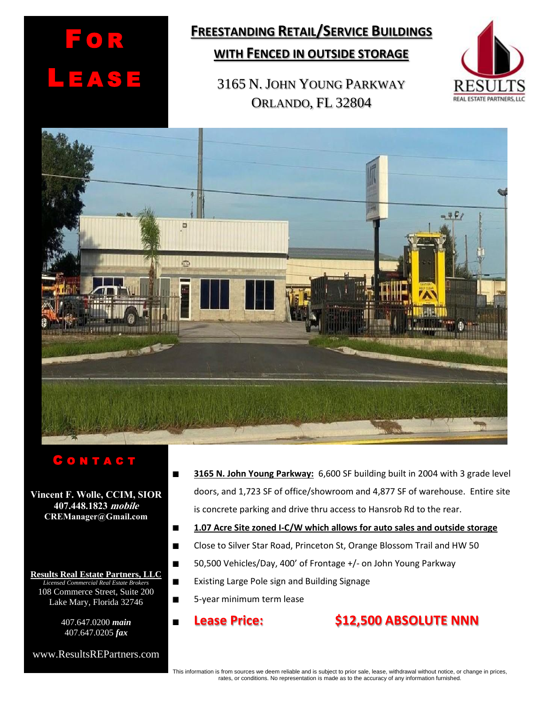

# **FREESTANDING RETAIL/SERVICE BUILDINGS**

### **WITH FENCED IN OUTSIDE STORAGE**

3165 N. JOHN YOUNG PARKWAY ORLANDO, FL 32804





## C O N T A C T

**Vincent F. Wolle, CCIM, SIOR 407.448.1823 mobile CREManager@Gmail.com**

**Results Real Estate Partners, LLC** *Licensed Commercial Real Estate Brokers* 108 Commerce Street, Suite 200 Lake Mary, Florida 32746

> 407.647.0200 *main* 407.647.0205 *fax*

www.ResultsREPartners.com

- **3165 N. John Young Parkway:** 6,600 SF building built in 2004 with 3 grade level doors, and 1,723 SF of office/showroom and 4,877 SF of warehouse. Entire site is concrete parking and drive thru access to Hansrob Rd to the rear.
- **1.07 Acre Site zoned I-C/W which allows for auto sales and outside storage**  $\blacksquare$
- Close to Silver Star Road, Princeton St, Orange Blossom Trail and HW 50  $\blacksquare$
- 50,500 Vehicles/Day, 400' of Frontage +/- on John Young Parkway  $\blacksquare$ 
	- Existing Large Pole sign and Building Signage
	- 5-year minimum term lease
	-

 $\blacksquare$  $\blacksquare$ 

## **Lease Price: \$12,500 ABSOLUTE NNN**

This information is from sources we deem reliable and is subject to prior sale, lease, withdrawal without notice, or change in prices, rates, or conditions. No representation is made as to the accuracy of any information furnished.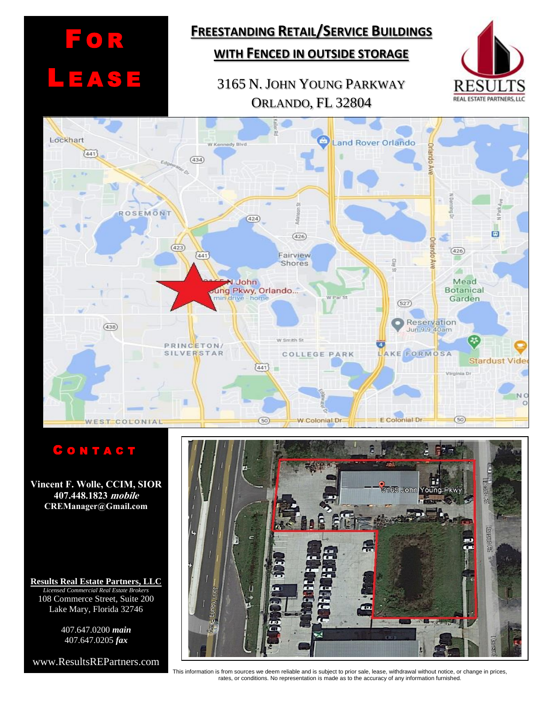# F O R L E AS E

# **FREESTANDING RETAIL/SERVICE BUILDINGS**

## **WITH FENCED IN OUTSIDE STORAGE**

## 3165 N. JOHN YOUNG PARKWAY ORLANDO, FL 32804





### C O N T A C T

**Vincent F. Wolle, CCIM, SIOR 407.448.1823 mobile CREManager@Gmail.com**

**Results Real Estate Partners, LLC** *Licensed Commercial Real Estate Brokers* 108 Commerce Street, Suite 200 Lake Mary, Florida 32746

> 407.647.0200 *main* 407.647.0205 *fax*

www.ResultsREPartners.com



This information is from sources we deem reliable and is subject to prior sale, lease, withdrawal without notice, or change in prices, rates, or conditions. No representation is made as to the accuracy of any information furnished.